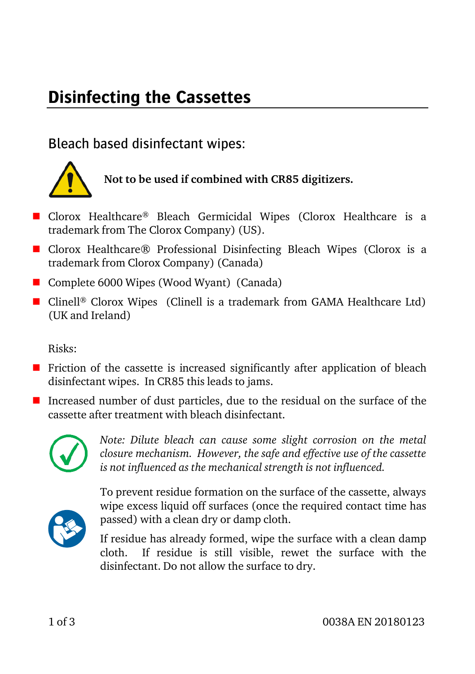# **Disinfecting the Cassettes**

### Bleach based disinfectant wipes:



## **Not to be used if combined with CR85 digitizers.**

- Clorox Healthcare<sup>®</sup> Bleach Germicidal Wipes (Clorox Healthcare is a trademark from The Clorox Company) (US).
- Clorox Healthcare<sup>®</sup> Professional Disinfecting Bleach Wipes (Clorox is a trademark from Clorox Company) (Canada)
- Complete 6000 Wipes (Wood Wyant) (Canada)
- Clinell<sup>®</sup> Clorox Wipes (Clinell is a trademark from GAMA Healthcare Ltd) (UK and Ireland)

Risks:

- **F** Friction of the cassette is increased significantly after application of bleach disinfectant wipes. In CR85 this leads to jams.
- Increased number of dust particles, due to the residual on the surface of the cassette after treatment with bleach disinfectant.



*Note: Dilute bleach can cause some slight corrosion on the metal closure mechanism. However, the safe and effective use of the cassette is not influenced as the mechanical strength is not influenced.*



To prevent residue formation on the surface of the cassette, always wipe excess liquid off surfaces (once the required contact time has passed) with a clean dry or damp cloth.

If residue has already formed, wipe the surface with a clean damp cloth. If residue is still visible, rewet the surface with the disinfectant. Do not allow the surface to dry.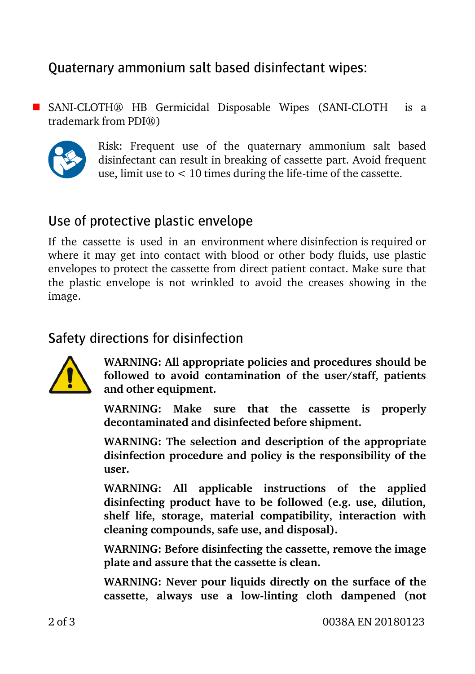## Quaternary ammonium salt based disinfectant wipes:

 SANI-CLOTH® HB Germicidal Disposable Wipes (SANI-CLOTH is a trademark from PDI®)



Risk: Frequent use of the quaternary ammonium salt based disinfectant can result in breaking of cassette part. Avoid frequent use, limit use to  $< 10$  times during the life-time of the cassette.

#### Use of protective plastic envelope

If the cassette is used in an environment where disinfection is required or where it may get into contact with blood or other body fluids, use plastic envelopes to protect the cassette from direct patient contact. Make sure that the plastic envelope is not wrinkled to avoid the creases showing in the image.

#### Safety directions for disinfection



**WARNING: All appropriate policies and procedures should be followed to avoid contamination of the user/staff, patients and other equipment.**

**WARNING: Make sure that the cassette is properly decontaminated and disinfected before shipment.**

**WARNING: The selection and description of the appropriate disinfection procedure and policy is the responsibility of the user.**

**WARNING: All applicable instructions of the applied disinfecting product have to be followed (e.g. use, dilution, shelf life, storage, material compatibility, interaction with cleaning compounds, safe use, and disposal).**

**WARNING: Before disinfecting the cassette, remove the image plate and assure that the cassette is clean.**

**WARNING: Never pour liquids directly on the surface of the cassette, always use a low-linting cloth dampened (not**